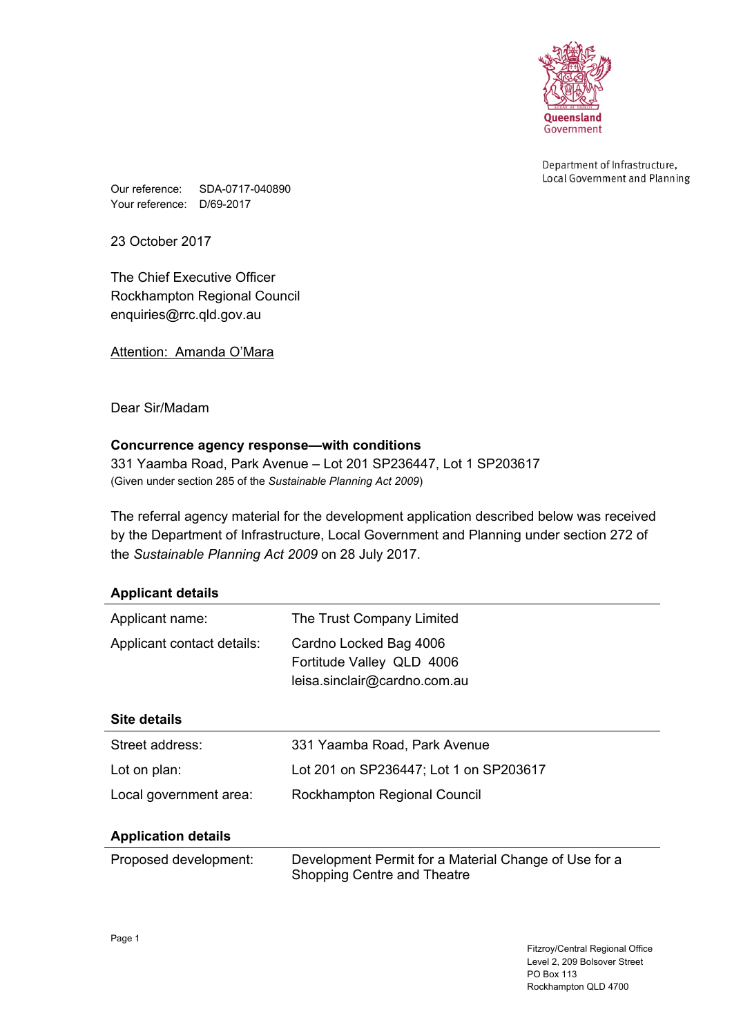

Department of Infrastructure, Local Government and Planning

Our reference: SDA-0717-040890 Your reference: D/69-2017

23 October 2017

The Chief Executive Officer Rockhampton Regional Council enquiries@rrc.qld.gov.au

Attention: Amanda O'Mara

Dear Sir/Madam

# **Concurrence agency response—with conditions**

331 Yaamba Road, Park Avenue – Lot 201 SP236447, Lot 1 SP203617 (Given under section 285 of the *Sustainable Planning Act 2009*)

The referral agency material for the development application described below was received by the Department of Infrastructure, Local Government and Planning under section 272 of the *Sustainable Planning Act 2009* on 28 July 2017.

| <b>Applicant details</b>   |                                                                                      |  |
|----------------------------|--------------------------------------------------------------------------------------|--|
| Applicant name:            | The Trust Company Limited                                                            |  |
| Applicant contact details: | Cardno Locked Bag 4006<br>Fortitude Valley QLD 4006<br>leisa.sinclair@cardno.com.au  |  |
| Site details               |                                                                                      |  |
| Street address:            | 331 Yaamba Road, Park Avenue                                                         |  |
| Lot on plan:               | Lot 201 on SP236447; Lot 1 on SP203617                                               |  |
| Local government area:     | Rockhampton Regional Council                                                         |  |
| <b>Application details</b> |                                                                                      |  |
| Proposed development:      | Development Permit for a Material Change of Use for a<br>Shopping Centre and Theatre |  |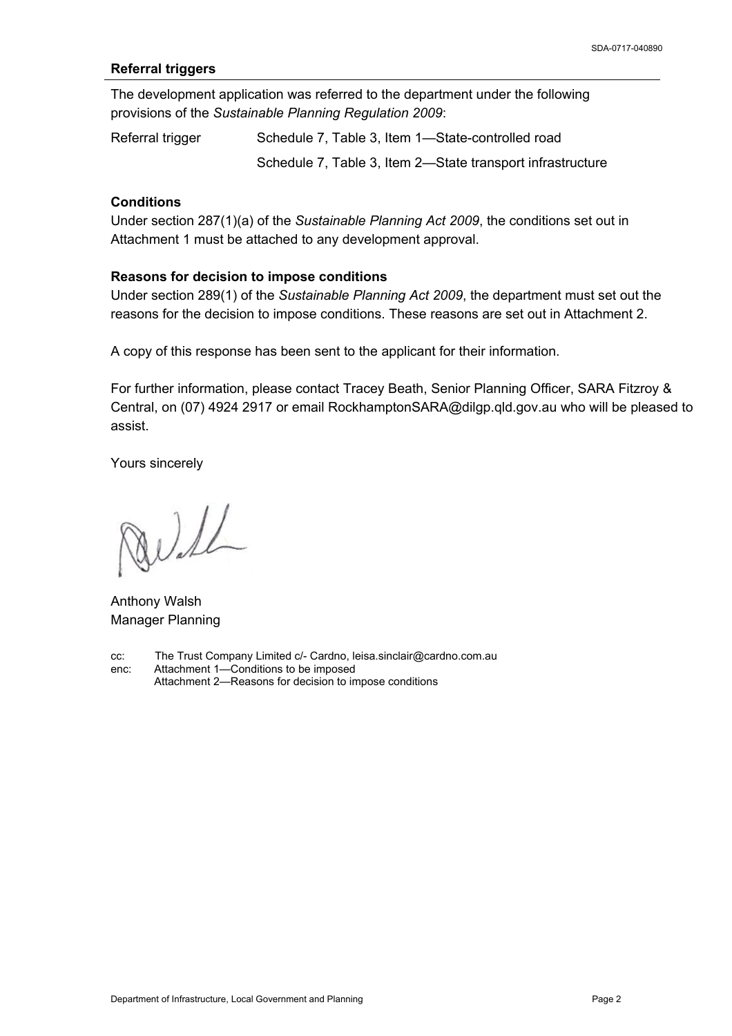## **Referral triggers**

The development application was referred to the department under the following provisions of the *Sustainable Planning Regulation 2009*:

Referral trigger Schedule 7, Table 3, Item 1—State-controlled road Schedule 7, Table 3, Item 2—State transport infrastructure

## **Conditions**

Under section 287(1)(a) of the *Sustainable Planning Act 2009*, the conditions set out in Attachment 1 must be attached to any development approval.

#### **Reasons for decision to impose conditions**

Under section 289(1) of the *Sustainable Planning Act 2009*, the department must set out the reasons for the decision to impose conditions. These reasons are set out in Attachment 2.

A copy of this response has been sent to the applicant for their information.

For further information, please contact Tracey Beath, Senior Planning Officer, SARA Fitzroy & Central, on (07) 4924 2917 or email RockhamptonSARA@dilgp.qld.gov.au who will be pleased to assist.

Yours sincerely

Will

Anthony Walsh Manager Planning

cc: The Trust Company Limited c/- Cardno, leisa.sinclair@cardno.com.au enc: Attachment 1—Conditions to be imposed Attachment 2—Reasons for decision to impose conditions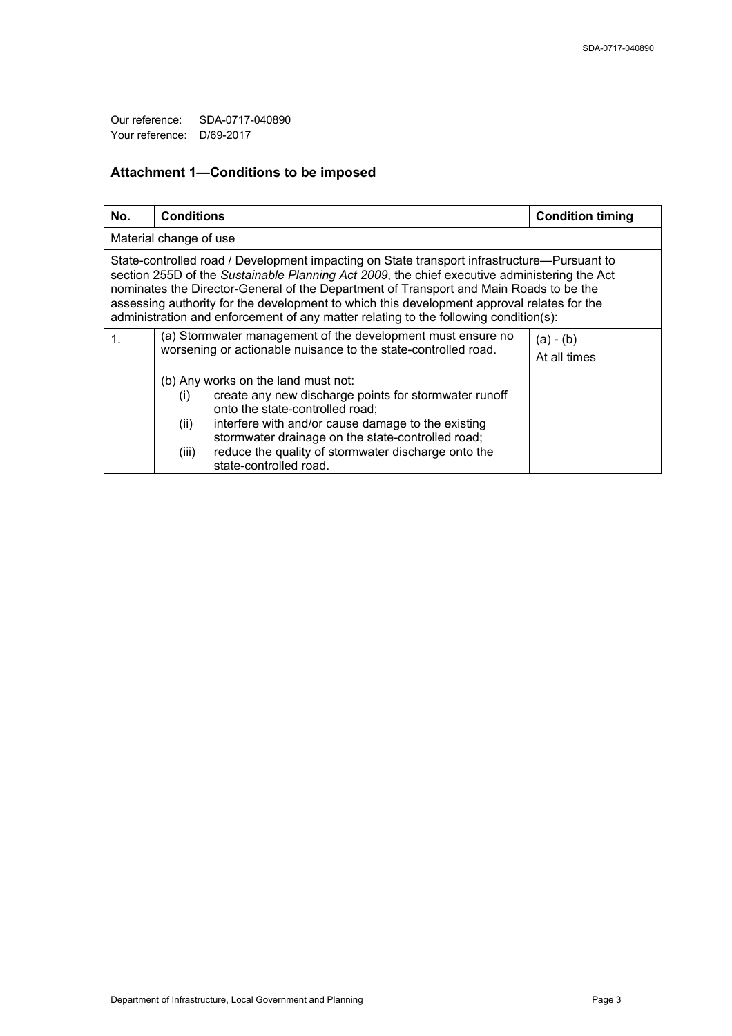Our reference: SDA-0717-040890 Your reference: D/69-2017

# **Attachment 1—Conditions to be imposed**

| No.                                                                                                                                                                                                                                                                                                                                                                                                                                                                         | <b>Conditions</b>                                                                                                                                                                                                                                                                                                                                   | <b>Condition timing</b>     |  |
|-----------------------------------------------------------------------------------------------------------------------------------------------------------------------------------------------------------------------------------------------------------------------------------------------------------------------------------------------------------------------------------------------------------------------------------------------------------------------------|-----------------------------------------------------------------------------------------------------------------------------------------------------------------------------------------------------------------------------------------------------------------------------------------------------------------------------------------------------|-----------------------------|--|
| Material change of use                                                                                                                                                                                                                                                                                                                                                                                                                                                      |                                                                                                                                                                                                                                                                                                                                                     |                             |  |
| State-controlled road / Development impacting on State transport infrastructure—Pursuant to<br>section 255D of the Sustainable Planning Act 2009, the chief executive administering the Act<br>nominates the Director-General of the Department of Transport and Main Roads to be the<br>assessing authority for the development to which this development approval relates for the<br>administration and enforcement of any matter relating to the following condition(s): |                                                                                                                                                                                                                                                                                                                                                     |                             |  |
| $\mathbf 1$                                                                                                                                                                                                                                                                                                                                                                                                                                                                 | (a) Stormwater management of the development must ensure no<br>worsening or actionable nuisance to the state-controlled road.                                                                                                                                                                                                                       | $(a) - (b)$<br>At all times |  |
|                                                                                                                                                                                                                                                                                                                                                                                                                                                                             | (b) Any works on the land must not:<br>create any new discharge points for stormwater runoff<br>(i)<br>onto the state-controlled road;<br>interfere with and/or cause damage to the existing<br>(ii)<br>stormwater drainage on the state-controlled road;<br>reduce the quality of stormwater discharge onto the<br>(iii)<br>state-controlled road. |                             |  |